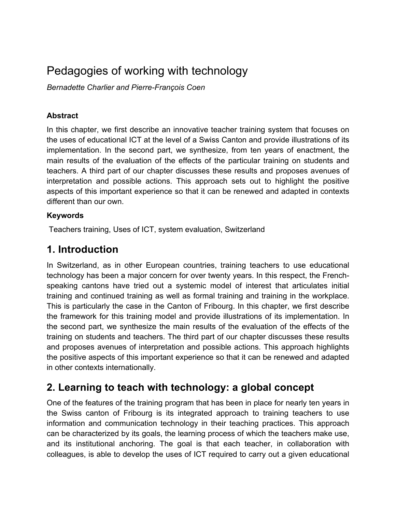# Pedagogies of working with technology

*Bernadette Charlier and Pierre-François Coen*

#### **Abstract**

In this chapter, we first describe an innovative teacher training system that focuses on the uses of educational ICT at the level of a Swiss Canton and provide illustrations of its implementation. In the second part, we synthesize, from ten years of enactment, the main results of the evaluation of the effects of the particular training on students and teachers. A third part of our chapter discusses these results and proposes avenues of interpretation and possible actions. This approach sets out to highlight the positive aspects of this important experience so that it can be renewed and adapted in contexts different than our own.

#### **Keywords**

Teachers training, Uses of ICT, system evaluation, Switzerland

# **1. Introduction**

In Switzerland, as in other European countries, training teachers to use educational technology has been a major concern for over twenty years. In this respect, the Frenchspeaking cantons have tried out a systemic model of interest that articulates initial training and continued training as well as formal training and training in the workplace. This is particularly the case in the Canton of Fribourg. In this chapter, we first describe the framework for this training model and provide illustrations of its implementation. In the second part, we synthesize the main results of the evaluation of the effects of the training on students and teachers. The third part of our chapter discusses these results and proposes avenues of interpretation and possible actions. This approach highlights the positive aspects of this important experience so that it can be renewed and adapted in other contexts internationally.

# **2. Learning to teach with technology: a global concept**

One of the features of the training program that has been in place for nearly ten years in the Swiss canton of Fribourg is its integrated approach to training teachers to use information and communication technology in their teaching practices. This approach can be characterized by its goals, the learning process of which the teachers make use, and its institutional anchoring. The goal is that each teacher, in collaboration with colleagues, is able to develop the uses of ICT required to carry out a given educational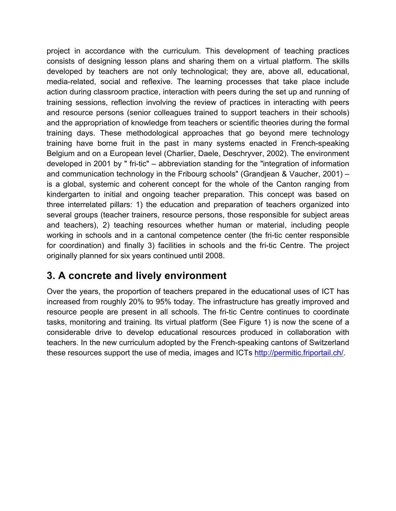project in accordance with the curriculum. This development of teaching practices consists of designing lesson plans and sharing them on a virtual platform. The skills developed by teachers are not only technological; they are, above all, educational, media-related, social and reflexive. The learning processes that take place include action during classroom practice, interaction with peers during the set up and running of training sessions, reflection involving the review of practices in interacting with peers and resource persons (senior colleagues trained to support teachers in their schools) and the appropriation of knowledge from teachers or scientific theories during the formal training days. These methodological approaches that go beyond mere technology training have borne fruit in the past in many systems enacted in French-speaking Belgium and on a European level (Charlier, Daele, Deschryver, 2002). The environment developed in 2001 by " fri-tic" – abbreviation standing for the "integration of information and communication technology in the Fribourg schools" (Grandjean & Vaucher, 2001) – is a global, systemic and coherent concept for the whole of the Canton ranging from kindergarten to initial and ongoing teacher preparation. This concept was based on three interrelated pillars: 1) the education and preparation of teachers organized into several groups (teacher trainers, resource persons, those responsible for subject areas and teachers), 2) teaching resources whether human or material, including people working in schools and in a cantonal competence center (the fri-tic center responsible for coordination) and finally 3) facilities in schools and the fri-tic Centre. The project originally planned for six years continued until 2008.

# **3. A concrete and lively environment**

Over the years, the proportion of teachers prepared in the educational uses of ICT has increased from roughly 20% to 95% today. The infrastructure has greatly improved and resource people are present in all schools. The fri-tic Centre continues to coordinate tasks, monitoring and training. Its virtual platform (See Figure 1) is now the scene of a considerable drive to develop educational resources produced in collaboration with teachers. In the new curriculum adopted by the French-speaking cantons of Switzerland these resources support the use of media, images and ICTs http://permitic.friportail.ch/.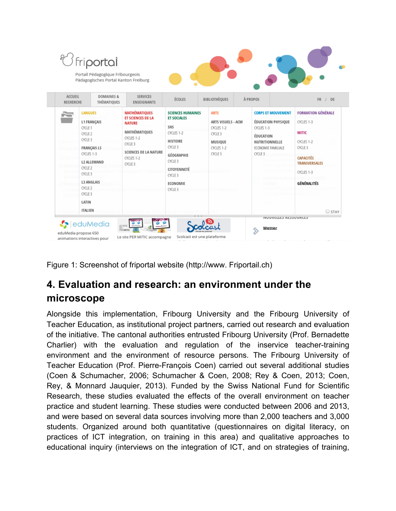|                                    | Portail Pédagogique Fribourgeois<br>Pädagogisches Portal Kanton Freiburg                                                                                                                                  |                                                                                                                                                                      |                                                                                                                                                                                    |                                                                                                       |                                                                                                                                             |                                                                                                                                                                  |
|------------------------------------|-----------------------------------------------------------------------------------------------------------------------------------------------------------------------------------------------------------|----------------------------------------------------------------------------------------------------------------------------------------------------------------------|------------------------------------------------------------------------------------------------------------------------------------------------------------------------------------|-------------------------------------------------------------------------------------------------------|---------------------------------------------------------------------------------------------------------------------------------------------|------------------------------------------------------------------------------------------------------------------------------------------------------------------|
| <b>ACCUEIL</b><br><b>RECHERCHE</b> | <b>DOMAINES &amp;</b><br>THÉMATIQUES                                                                                                                                                                      | <b>SERVICES</b><br>ENSEIGNANTS                                                                                                                                       | ÉCOLES                                                                                                                                                                             | <b>BIBLIOTHÈQUES</b>                                                                                  | À PROPOS                                                                                                                                    | FR / DE                                                                                                                                                          |
|                                    | <b>LANGUES</b><br><b>L1 FRANÇAIS</b><br>CYCLE 1<br>CYCLE 2<br>CYCLE 3<br><b>FRANÇAIS LS</b><br>CYCLES 1-3<br><b>L2 ALLEMAND</b><br>CYCLE 2<br>CYCLE 3<br><b>L3 ANGLAIS</b><br>CYCLE 2<br>CYCLE 3<br>LATIN | <b>MATHÉMATIQUES</b><br><b>ET SCIENCES DE LA</b><br><b>NATURE</b><br>MATHÉMATIQUES<br>CYCLES 1-2<br>CYCLE 3<br><b>SCIENCES DE LA NATURE</b><br>CYCLES 1-2<br>CYCLE 3 | <b>SCIENCES HUMAINES</b><br><b>ET SOCIALES</b><br>SHS<br>CYCLES 1-2<br><b>HISTOIRE</b><br>CYCLE 3<br>GÉOGRAPHIE<br>CYCLE 3<br>CITOYENNETÉ<br>CYCLE 3<br><b>ECONOMIE</b><br>CYCLE 3 | <b>ARTS</b><br><b>ARTS VISUELS - ACM</b><br>CYCLES 1-2<br>CYCLE 3<br>MUSIQUE<br>CYCLES 1-2<br>CYCLE 3 | <b>CORPS ET MOUVEMENT</b><br><b>ÉDUCATION PHYSIQUE</b><br>CYCLES 1-3<br><b>ÉDUCATION</b><br>NUTRITIONNELLE<br>ECONOMIE FAMILIALE<br>CYCLE 3 | <b>FORMATION GÉNÉRALE</b><br>CYCLES 1-3<br><b>MITIC</b><br>CYCLES 1-2<br>CYCLE 3<br><b>CAPACITÉS</b><br><b>TRANSVERSALES</b><br>CYCLES 1-3<br><b>GÉNÉRALITÉS</b> |
|                                    | <b>ITALIEN</b>                                                                                                                                                                                            |                                                                                                                                                                      |                                                                                                                                                                                    |                                                                                                       |                                                                                                                                             | $\Box$ STAY                                                                                                                                                      |

Figure 1: Screenshot of friportal website (http://www. Friportail.ch)

# **4. Evaluation and research: an environment under the microscope**

Alongside this implementation, Fribourg University and the Fribourg University of Teacher Education, as institutional project partners, carried out research and evaluation of the initiative. The cantonal authorities entrusted Fribourg University (Prof. Bernadette Charlier) with the evaluation and regulation of the inservice teacher-training environment and the environment of resource persons. The Fribourg University of Teacher Education (Prof. Pierre-François Coen) carried out several additional studies (Coen & Schumacher, 2006; Schumacher & Coen, 2008; Rey & Coen, 2013; Coen, Rey, & Monnard Jauquier, 2013). Funded by the Swiss National Fund for Scientific Research, these studies evaluated the effects of the overall environment on teacher practice and student learning. These studies were conducted between 2006 and 2013, and were based on several data sources involving more than 2,000 teachers and 3,000 students. Organized around both quantitative (questionnaires on digital literacy, on practices of ICT integration, on training in this area) and qualitative approaches to educational inquiry (interviews on the integration of ICT, and on strategies of training,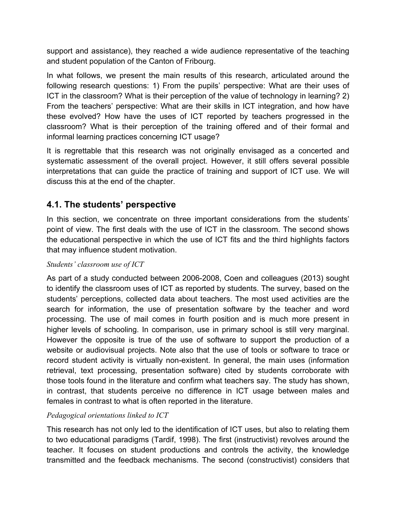support and assistance), they reached a wide audience representative of the teaching and student population of the Canton of Fribourg.

In what follows, we present the main results of this research, articulated around the following research questions: 1) From the pupils' perspective: What are their uses of ICT in the classroom? What is their perception of the value of technology in learning? 2) From the teachers' perspective: What are their skills in ICT integration, and how have these evolved? How have the uses of ICT reported by teachers progressed in the classroom? What is their perception of the training offered and of their formal and informal learning practices concerning ICT usage?

It is regrettable that this research was not originally envisaged as a concerted and systematic assessment of the overall project. However, it still offers several possible interpretations that can guide the practice of training and support of ICT use. We will discuss this at the end of the chapter.

## **4.1. The students' perspective**

In this section, we concentrate on three important considerations from the students' point of view. The first deals with the use of ICT in the classroom. The second shows the educational perspective in which the use of ICT fits and the third highlights factors that may influence student motivation.

#### *Students' classroom use of ICT*

As part of a study conducted between 2006-2008, Coen and colleagues (2013) sought to identify the classroom uses of ICT as reported by students. The survey, based on the students' perceptions, collected data about teachers. The most used activities are the search for information, the use of presentation software by the teacher and word processing. The use of mail comes in fourth position and is much more present in higher levels of schooling. In comparison, use in primary school is still very marginal. However the opposite is true of the use of software to support the production of a website or audiovisual projects. Note also that the use of tools or software to trace or record student activity is virtually non-existent. In general, the main uses (information retrieval, text processing, presentation software) cited by students corroborate with those tools found in the literature and confirm what teachers say. The study has shown, in contrast, that students perceive no difference in ICT usage between males and females in contrast to what is often reported in the literature.

#### *Pedagogical orientations linked to ICT*

This research has not only led to the identification of ICT uses, but also to relating them to two educational paradigms (Tardif, 1998). The first (instructivist) revolves around the teacher. It focuses on student productions and controls the activity, the knowledge transmitted and the feedback mechanisms. The second (constructivist) considers that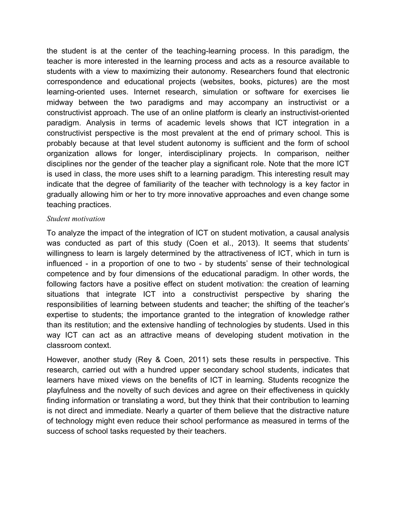the student is at the center of the teaching-learning process. In this paradigm, the teacher is more interested in the learning process and acts as a resource available to students with a view to maximizing their autonomy. Researchers found that electronic correspondence and educational projects (websites, books, pictures) are the most learning-oriented uses. Internet research, simulation or software for exercises lie midway between the two paradigms and may accompany an instructivist or a constructivist approach. The use of an online platform is clearly an instructivist-oriented paradigm. Analysis in terms of academic levels shows that ICT integration in a constructivist perspective is the most prevalent at the end of primary school. This is probably because at that level student autonomy is sufficient and the form of school organization allows for longer, interdisciplinary projects. In comparison, neither disciplines nor the gender of the teacher play a significant role. Note that the more ICT is used in class, the more uses shift to a learning paradigm. This interesting result may indicate that the degree of familiarity of the teacher with technology is a key factor in gradually allowing him or her to try more innovative approaches and even change some teaching practices.

#### *Student motivation*

To analyze the impact of the integration of ICT on student motivation, a causal analysis was conducted as part of this study (Coen et al., 2013). It seems that students' willingness to learn is largely determined by the attractiveness of ICT, which in turn is influenced - in a proportion of one to two - by students' sense of their technological competence and by four dimensions of the educational paradigm. In other words, the following factors have a positive effect on student motivation: the creation of learning situations that integrate ICT into a constructivist perspective by sharing the responsibilities of learning between students and teacher; the shifting of the teacher's expertise to students; the importance granted to the integration of knowledge rather than its restitution; and the extensive handling of technologies by students. Used in this way ICT can act as an attractive means of developing student motivation in the classroom context.

However, another study (Rey & Coen, 2011) sets these results in perspective. This research, carried out with a hundred upper secondary school students, indicates that learners have mixed views on the benefits of ICT in learning. Students recognize the playfulness and the novelty of such devices and agree on their effectiveness in quickly finding information or translating a word, but they think that their contribution to learning is not direct and immediate. Nearly a quarter of them believe that the distractive nature of technology might even reduce their school performance as measured in terms of the success of school tasks requested by their teachers.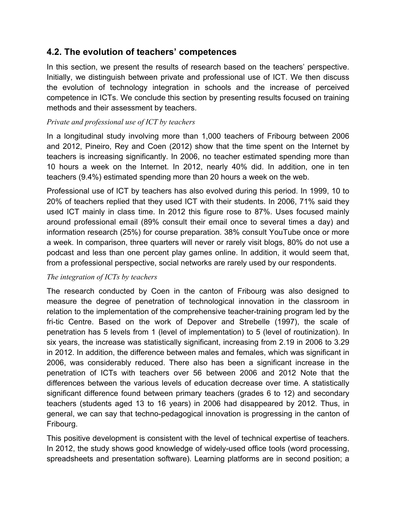## **4.2. The evolution of teachers' competences**

In this section, we present the results of research based on the teachers' perspective. Initially, we distinguish between private and professional use of ICT. We then discuss the evolution of technology integration in schools and the increase of perceived competence in ICTs. We conclude this section by presenting results focused on training methods and their assessment by teachers.

#### *Private and professional use of ICT by teachers*

In a longitudinal study involving more than 1,000 teachers of Fribourg between 2006 and 2012, Pineiro, Rey and Coen (2012) show that the time spent on the Internet by teachers is increasing significantly. In 2006, no teacher estimated spending more than 10 hours a week on the Internet. In 2012, nearly 40% did. In addition, one in ten teachers (9.4%) estimated spending more than 20 hours a week on the web.

Professional use of ICT by teachers has also evolved during this period. In 1999, 10 to 20% of teachers replied that they used ICT with their students. In 2006, 71% said they used ICT mainly in class time. In 2012 this figure rose to 87%. Uses focused mainly around professional email (89% consult their email once to several times a day) and information research (25%) for course preparation. 38% consult YouTube once or more a week. In comparison, three quarters will never or rarely visit blogs, 80% do not use a podcast and less than one percent play games online. In addition, it would seem that, from a professional perspective, social networks are rarely used by our respondents.

#### *The integration of ICTs by teachers*

The research conducted by Coen in the canton of Fribourg was also designed to measure the degree of penetration of technological innovation in the classroom in relation to the implementation of the comprehensive teacher-training program led by the fri-tic Centre. Based on the work of Depover and Strebelle (1997), the scale of penetration has 5 levels from 1 (level of implementation) to 5 (level of routinization). In six years, the increase was statistically significant, increasing from 2.19 in 2006 to 3.29 in 2012. In addition, the difference between males and females, which was significant in 2006, was considerably reduced. There also has been a significant increase in the penetration of ICTs with teachers over 56 between 2006 and 2012 Note that the differences between the various levels of education decrease over time. A statistically significant difference found between primary teachers (grades 6 to 12) and secondary teachers (students aged 13 to 16 years) in 2006 had disappeared by 2012. Thus, in general, we can say that techno-pedagogical innovation is progressing in the canton of Fribourg.

This positive development is consistent with the level of technical expertise of teachers. In 2012, the study shows good knowledge of widely-used office tools (word processing, spreadsheets and presentation software). Learning platforms are in second position; a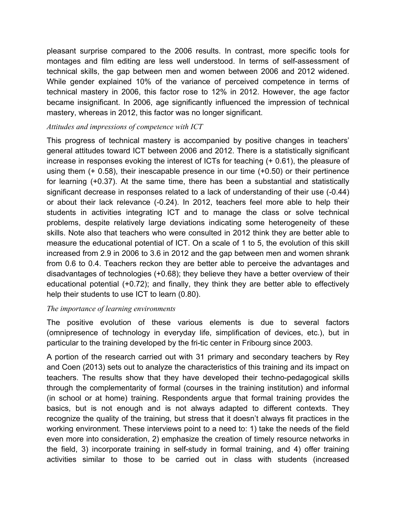pleasant surprise compared to the 2006 results. In contrast, more specific tools for montages and film editing are less well understood. In terms of self-assessment of technical skills, the gap between men and women between 2006 and 2012 widened. While gender explained 10% of the variance of perceived competence in terms of technical mastery in 2006, this factor rose to 12% in 2012. However, the age factor became insignificant. In 2006, age significantly influenced the impression of technical mastery, whereas in 2012, this factor was no longer significant.

#### *Attitudes and impressions of competence with ICT*

This progress of technical mastery is accompanied by positive changes in teachers' general attitudes toward ICT between 2006 and 2012. There is a statistically significant increase in responses evoking the interest of ICTs for teaching (+ 0.61), the pleasure of using them (+ 0.58), their inescapable presence in our time (+0.50) or their pertinence for learning (+0.37). At the same time, there has been a substantial and statistically significant decrease in responses related to a lack of understanding of their use (-0.44) or about their lack relevance (-0.24). In 2012, teachers feel more able to help their students in activities integrating ICT and to manage the class or solve technical problems, despite relatively large deviations indicating some heterogeneity of these skills. Note also that teachers who were consulted in 2012 think they are better able to measure the educational potential of ICT. On a scale of 1 to 5, the evolution of this skill increased from 2.9 in 2006 to 3.6 in 2012 and the gap between men and women shrank from 0.6 to 0.4. Teachers reckon they are better able to perceive the advantages and disadvantages of technologies (+0.68); they believe they have a better overview of their educational potential (+0.72); and finally, they think they are better able to effectively help their students to use ICT to learn (0.80).

#### *The importance of learning environments*

The positive evolution of these various elements is due to several factors (omnipresence of technology in everyday life, simplification of devices, etc.), but in particular to the training developed by the fri-tic center in Fribourg since 2003.

A portion of the research carried out with 31 primary and secondary teachers by Rey and Coen (2013) sets out to analyze the characteristics of this training and its impact on teachers. The results show that they have developed their techno-pedagogical skills through the complementarity of formal (courses in the training institution) and informal (in school or at home) training. Respondents argue that formal training provides the basics, but is not enough and is not always adapted to different contexts. They recognize the quality of the training, but stress that it doesn't always fit practices in the working environment. These interviews point to a need to: 1) take the needs of the field even more into consideration, 2) emphasize the creation of timely resource networks in the field, 3) incorporate training in self-study in formal training, and 4) offer training activities similar to those to be carried out in class with students (increased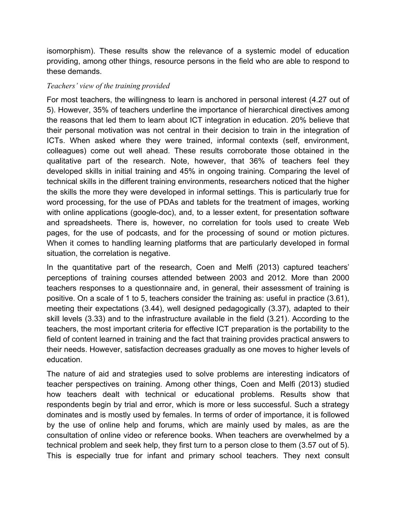isomorphism). These results show the relevance of a systemic model of education providing, among other things, resource persons in the field who are able to respond to these demands.

#### *Teachers' view of the training provided*

For most teachers, the willingness to learn is anchored in personal interest (4.27 out of 5). However, 35% of teachers underline the importance of hierarchical directives among the reasons that led them to learn about ICT integration in education. 20% believe that their personal motivation was not central in their decision to train in the integration of ICTs. When asked where they were trained, informal contexts (self, environment, colleagues) come out well ahead. These results corroborate those obtained in the qualitative part of the research. Note, however, that 36% of teachers feel they developed skills in initial training and 45% in ongoing training. Comparing the level of technical skills in the different training environments, researchers noticed that the higher the skills the more they were developed in informal settings. This is particularly true for word processing, for the use of PDAs and tablets for the treatment of images, working with online applications (google-doc), and, to a lesser extent, for presentation software and spreadsheets. There is, however, no correlation for tools used to create Web pages, for the use of podcasts, and for the processing of sound or motion pictures. When it comes to handling learning platforms that are particularly developed in formal situation, the correlation is negative.

In the quantitative part of the research, Coen and Melfi (2013) captured teachers' perceptions of training courses attended between 2003 and 2012. More than 2000 teachers responses to a questionnaire and, in general, their assessment of training is positive. On a scale of 1 to 5, teachers consider the training as: useful in practice (3.61), meeting their expectations (3.44), well designed pedagogically (3.37), adapted to their skill levels (3.33) and to the infrastructure available in the field (3.21). According to the teachers, the most important criteria for effective ICT preparation is the portability to the field of content learned in training and the fact that training provides practical answers to their needs. However, satisfaction decreases gradually as one moves to higher levels of education.

The nature of aid and strategies used to solve problems are interesting indicators of teacher perspectives on training. Among other things, Coen and Melfi (2013) studied how teachers dealt with technical or educational problems. Results show that respondents begin by trial and error, which is more or less successful. Such a strategy dominates and is mostly used by females. In terms of order of importance, it is followed by the use of online help and forums, which are mainly used by males, as are the consultation of online video or reference books. When teachers are overwhelmed by a technical problem and seek help, they first turn to a person close to them (3.57 out of 5). This is especially true for infant and primary school teachers. They next consult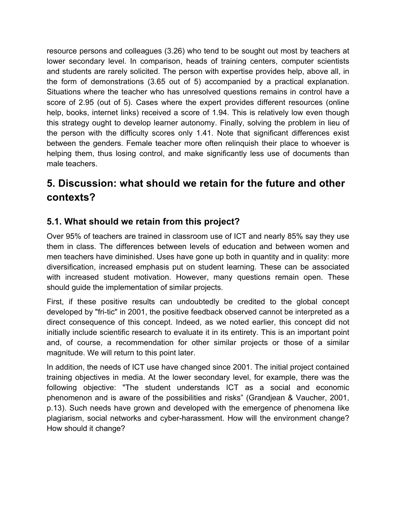resource persons and colleagues (3.26) who tend to be sought out most by teachers at lower secondary level. In comparison, heads of training centers, computer scientists and students are rarely solicited. The person with expertise provides help, above all, in the form of demonstrations (3.65 out of 5) accompanied by a practical explanation. Situations where the teacher who has unresolved questions remains in control have a score of 2.95 (out of 5). Cases where the expert provides different resources (online help, books, internet links) received a score of 1.94. This is relatively low even though this strategy ought to develop learner autonomy. Finally, solving the problem in lieu of the person with the difficulty scores only 1.41. Note that significant differences exist between the genders. Female teacher more often relinquish their place to whoever is helping them, thus losing control, and make significantly less use of documents than male teachers.

# **5. Discussion: what should we retain for the future and other contexts?**

## **5.1. What should we retain from this project?**

Over 95% of teachers are trained in classroom use of ICT and nearly 85% say they use them in class. The differences between levels of education and between women and men teachers have diminished. Uses have gone up both in quantity and in quality: more diversification, increased emphasis put on student learning. These can be associated with increased student motivation. However, many questions remain open. These should guide the implementation of similar projects.

First, if these positive results can undoubtedly be credited to the global concept developed by "fri-tic" in 2001, the positive feedback observed cannot be interpreted as a direct consequence of this concept. Indeed, as we noted earlier, this concept did not initially include scientific research to evaluate it in its entirety. This is an important point and, of course, a recommendation for other similar projects or those of a similar magnitude. We will return to this point later.

In addition, the needs of ICT use have changed since 2001. The initial project contained training objectives in media. At the lower secondary level, for example, there was the following objective: "The student understands ICT as a social and economic phenomenon and is aware of the possibilities and risks" (Grandjean & Vaucher, 2001, p.13). Such needs have grown and developed with the emergence of phenomena like plagiarism, social networks and cyber-harassment. How will the environment change? How should it change?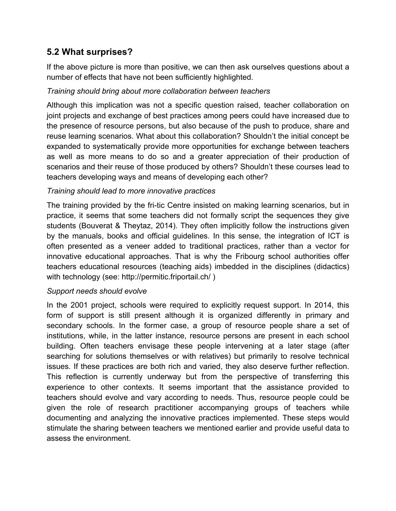## **5.2 What surprises?**

If the above picture is more than positive, we can then ask ourselves questions about a number of effects that have not been sufficiently highlighted.

#### *Training should bring about more collaboration between teachers*

Although this implication was not a specific question raised, teacher collaboration on joint projects and exchange of best practices among peers could have increased due to the presence of resource persons, but also because of the push to produce, share and reuse learning scenarios. What about this collaboration? Shouldn't the initial concept be expanded to systematically provide more opportunities for exchange between teachers as well as more means to do so and a greater appreciation of their production of scenarios and their reuse of those produced by others? Shouldn't these courses lead to teachers developing ways and means of developing each other?

#### *Training should lead to more innovative practices*

The training provided by the fri-tic Centre insisted on making learning scenarios, but in practice, it seems that some teachers did not formally script the sequences they give students (Bouverat & Theytaz, 2014). They often implicitly follow the instructions given by the manuals, books and official guidelines. In this sense, the integration of ICT is often presented as a veneer added to traditional practices, rather than a vector for innovative educational approaches. That is why the Fribourg school authorities offer teachers educational resources (teaching aids) imbedded in the disciplines (didactics) with technology (see: http://permitic.friportail.ch/)

#### *Support needs should evolve*

In the 2001 project, schools were required to explicitly request support. In 2014, this form of support is still present although it is organized differently in primary and secondary schools. In the former case, a group of resource people share a set of institutions, while, in the latter instance, resource persons are present in each school building. Often teachers envisage these people intervening at a later stage (after searching for solutions themselves or with relatives) but primarily to resolve technical issues. If these practices are both rich and varied, they also deserve further reflection. This reflection is currently underway but from the perspective of transferring this experience to other contexts. It seems important that the assistance provided to teachers should evolve and vary according to needs. Thus, resource people could be given the role of research practitioner accompanying groups of teachers while documenting and analyzing the innovative practices implemented. These steps would stimulate the sharing between teachers we mentioned earlier and provide useful data to assess the environment.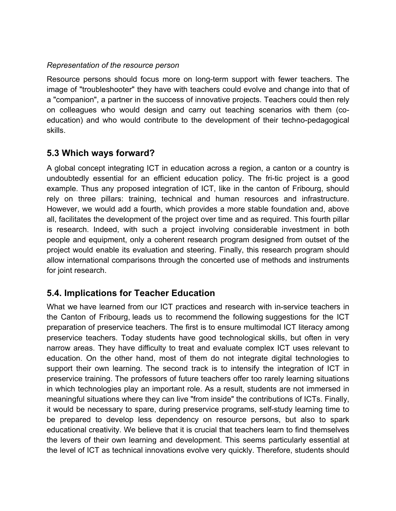#### *Representation of the resource person*

Resource persons should focus more on long-term support with fewer teachers. The image of "troubleshooter" they have with teachers could evolve and change into that of a "companion", a partner in the success of innovative projects. Teachers could then rely on colleagues who would design and carry out teaching scenarios with them (coeducation) and who would contribute to the development of their techno-pedagogical skills.

### **5.3 Which ways forward?**

A global concept integrating ICT in education across a region, a canton or a country is undoubtedly essential for an efficient education policy. The fri-tic project is a good example. Thus any proposed integration of ICT, like in the canton of Fribourg, should rely on three pillars: training, technical and human resources and infrastructure. However, we would add a fourth, which provides a more stable foundation and, above all, facilitates the development of the project over time and as required. This fourth pillar is research. Indeed, with such a project involving considerable investment in both people and equipment, only a coherent research program designed from outset of the project would enable its evaluation and steering. Finally, this research program should allow international comparisons through the concerted use of methods and instruments for joint research.

## **5.4. Implications for Teacher Education**

What we have learned from our ICT practices and research with in-service teachers in the Canton of Fribourg, leads us to recommend the following suggestions for the ICT preparation of preservice teachers. The first is to ensure multimodal ICT literacy among preservice teachers. Today students have good technological skills, but often in very narrow areas. They have difficulty to treat and evaluate complex ICT uses relevant to education. On the other hand, most of them do not integrate digital technologies to support their own learning. The second track is to intensify the integration of ICT in preservice training. The professors of future teachers offer too rarely learning situations in which technologies play an important role. As a result, students are not immersed in meaningful situations where they can live "from inside" the contributions of ICTs. Finally, it would be necessary to spare, during preservice programs, self-study learning time to be prepared to develop less dependency on resource persons, but also to spark educational creativity. We believe that it is crucial that teachers learn to find themselves the levers of their own learning and development. This seems particularly essential at the level of ICT as technical innovations evolve very quickly. Therefore, students should